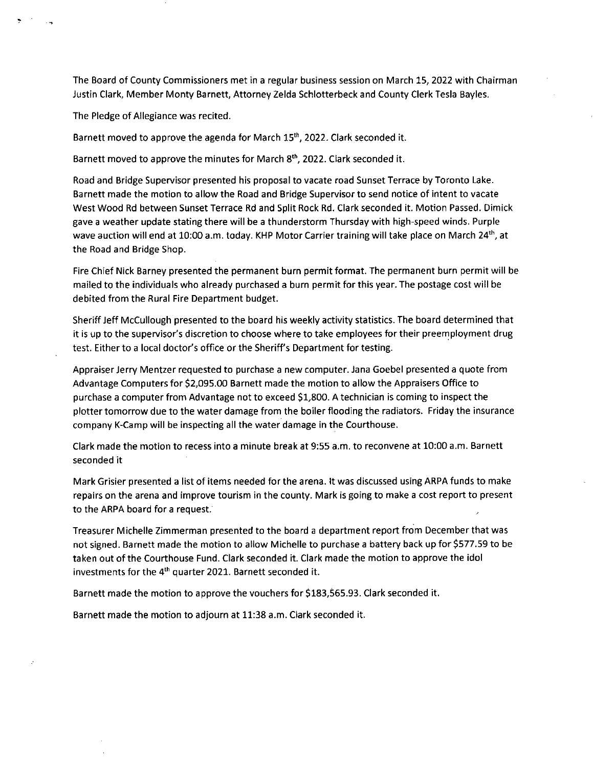The Board of County Commissioners met in a regular business session on March 15, 2022 with Chairman Justin Clark, Member Monty Barnett, Attorney Zelda Schlotterbeck and County Clerk Tesla Bayles.

The Pledge of Allegiance was recited.

Barnett moved to approve the agenda for March 15<sup>th</sup>, 2022. Clark seconded it.

Barnett moved to approve the minutes for March 8<sup>th</sup>, 2022. Clark seconded it.

Road and Bridge Supervisor presented his proposal to vacate road Sunset Terrace by Toronto Lake. Barnett made the motion to allow the Road and Bridge Supervisor to send notice of intent to vacate West Wood Rd between Sunset Terrace Rd and Split Rock Rd. Clark seconded it. Motion Passed. Dimick gave a weather update stating there will be a thunderstorm Thursday with high-speed winds. Purple wave auction will end at 10:00 a.m. today. KHP Motor Carrier training will take place on March 24<sup>th</sup>, at the Road and Bridge Shop.

Fire Chief Nick Barney presented the permanent burn permit format. The permanent burn permit will be mailed to the individuals who already purchased a burn permit for this year. The postage cost will be debited from the Rural Fire Department budget.

Sheriff Jeff McCullough presented to the board his weekly activity statistics. The board determined that it is up to the supervisor's discretion to choose where to take employees for their preemployment drug test. Either to a local doctor's office or the Sheriff's Department for testing.

Appraiser Jerry Mentzer requested to purchase a new computer. Jana Goebel presented a quote from Advantage Computers for \$2,095.00 Barnett made the motion to allow the Appraisers Office to purchase a computer from Advantage not to exceed \$1,800. A technician is coming to inspect the plotter tomorrow due to the water damage from the boiler flooding the radiators. Friday the insurance company K-Camp will be inspecting all the water damage in the Courthouse.

Clark made the motion to recess into a minute break at 9:55 a.m. to reconvene at 10:00 a.m. Barnett seconded it

Mark Grisier presented a list of items needed for the arena. It was discussed using ARPA funds to make repairs on the arena and improve tourism in the county. Mark is going to make a cost report to present to the ARPA board for a request.

Treasurer Michelle Zimmerman presented to the board a department report from December that was not signed. Barnett made the motion to allow Michelle to purchase a battery back up for \$577.59 to be taken out of the Courthouse Fund. Clark seconded it. Clark made the motion to approve the idol investments for the 4<sup>th</sup> quarter 2021. Barnett seconded it.

Barnett made the motion to approve the vouchers for \$183,565.93. Clark seconded it.

Barnett made the motion to adjourn at 11:38 a.m. Clark seconded it.